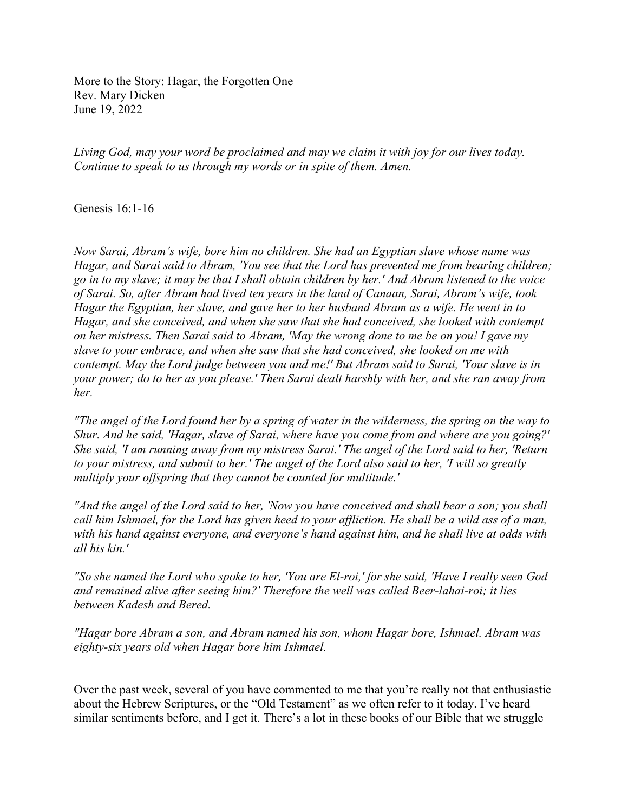More to the Story: Hagar, the Forgotten One Rev. Mary Dicken June 19, 2022

*Living God, may your word be proclaimed and may we claim it with joy for our lives today. Continue to speak to us through my words or in spite of them. Amen.*

Genesis 16:1-16

*Now Sarai, Abram's wife, bore him no children. She had an Egyptian slave whose name was Hagar, and Sarai said to Abram, 'You see that the Lord has prevented me from bearing children;* go in to my slave; it may be that I shall obtain children by her.' And Abram listened to the voice *of Sarai. So, after Abram had lived ten years in the land of Canaan, Sarai, Abram's wife, took Hagar the Egyptian, her slave, and gave her to her husband Abram as a wife. He went in to Hagar, and she conceived, and when she saw that she had conceived, she looked with contempt* on her mistress. Then Sarai said to Abram, 'May the wrong done to me be on you! I gave my *slave to your embrace, and when she saw that she had conceived, she looked on me with contempt. May the Lord judge between you and me!' But Abram said to Sarai, 'Your slave is in* your power; do to her as you please.' Then Sarai dealt harshly with her, and she ran away from *her.*

"The angel of the Lord found her by a spring of water in the wilderness, the spring on the way to *Shur. And he said, 'Hagar, slave of Sarai, where have you come from and where are you going?'* She said, 'I am running away from my mistress Sarai.' The angel of the Lord said to her, 'Return to your mistress, and submit to her.' The angel of the Lord also said to her, 'I will so greatly *multiply your offspring that they cannot be counted for multitude.'*

"And the angel of the Lord said to her, 'Now you have conceived and shall bear a son; you shall call him Ishmael, for the Lord has given heed to your affliction. He shall be a wild ass of a man, *with his hand against everyone, and everyone's hand against him, and he shall live at odds with all his kin.'*

"So she named the Lord who spoke to her, 'You are El-roi,' for she said, 'Have I really seen God *and remained alive after seeing him?' Therefore the well was called Beer-lahai-roi; it lies between Kadesh and Bered.*

*"Hagar bore Abram a son, and Abram named his son, whom Hagar bore, Ishmael. Abram was eighty-six years old when Hagar bore him Ishmael.*

Over the past week, several of you have commented to me that you're really not that enthusiastic about the Hebrew Scriptures, or the "Old Testament" as we often refer to it today. I've heard similar sentiments before, and I get it. There's a lot in these books of our Bible that we struggle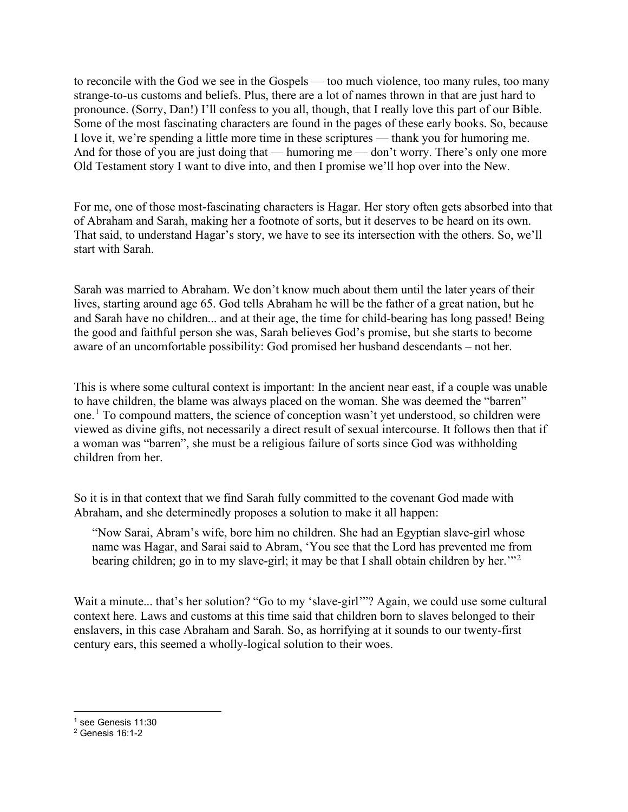to reconcile with the God we see in the Gospels — too much violence, too many rules, too many strange-to-us customs and beliefs. Plus, there are a lot of names thrown in that are just hard to pronounce. (Sorry, Dan!) I'll confess to you all, though, that I really love this part of our Bible. Some of the most fascinating characters are found in the pages of these early books. So, because I love it, we're spending a little more time in these scriptures — thank you for humoring me. And for those of you are just doing that — humoring me — don't worry. There's only one more Old Testament story I want to dive into, and then I promise we'll hop over into the New.

For me, one of those most-fascinating characters is Hagar. Her story often gets absorbed into that of Abraham and Sarah, making her a footnote of sorts, but it deserves to be heard on its own. That said, to understand Hagar's story, we have to see its intersection with the others. So, we'll start with Sarah.

Sarah was married to Abraham. We don't know much about them until the later years of their lives, starting around age 65. God tells Abraham he will be the father of a great nation, but he and Sarah have no children... and at their age, the time for child-bearing has long passed! Being the good and faithful person she was, Sarah believes God's promise, but she starts to become aware of an uncomfortable possibility: God promised her husband descendants – not her.

This is where some cultural context is important: In the ancient near east, if a couple was unable to have children, the blame was always placed on the woman. She was deemed the "barren" one.<sup>[1](#page-1-0)</sup> To compound matters, the science of conception wasn't yet understood, so children were viewed as divine gifts, not necessarily a direct result of sexual intercourse. It follows then that if a woman was "barren", she must be a religious failure of sorts since God was withholding children from her.

So it is in that context that we find Sarah fully committed to the covenant God made with Abraham, and she determinedly proposes a solution to make it all happen:

"Now Sarai, Abram's wife, bore him no children. She had an Egyptian slave-girl whose name was Hagar, and Sarai said to Abram, 'You see that the Lord has prevented me from bearing children; go in to my slave-girl; it may be that I shall obtain children by her.<sup>"[2](#page-1-1)</sup>

Wait a minute... that's her solution? "Go to my 'slave-girl'"? Again, we could use some cultural context here. Laws and customs at this time said that children born to slaves belonged to their enslavers, in this case Abraham and Sarah. So, as horrifying at it sounds to our twenty-first century ears, this seemed a wholly-logical solution to their woes.

<span id="page-1-0"></span><sup>&</sup>lt;sup>1</sup> see Genesis 11:30

<span id="page-1-1"></span><sup>2</sup> Genesis 16:1-2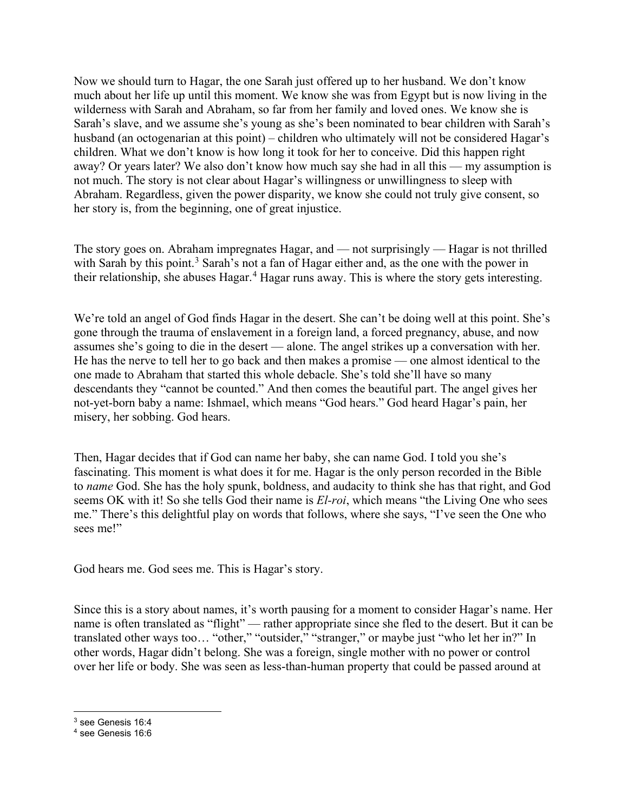Now we should turn to Hagar, the one Sarah just offered up to her husband. We don't know much about her life up until this moment. We know she was from Egypt but is now living in the wilderness with Sarah and Abraham, so far from her family and loved ones. We know she is Sarah's slave, and we assume she's young as she's been nominated to bear children with Sarah's husband (an octogenarian at this point) – children who ultimately will not be considered Hagar's children. What we don't know is how long it took for her to conceive. Did this happen right away? Or years later? We also don't know how much say she had in all this — my assumption is not much. The story is not clear about Hagar's willingness or unwillingness to sleep with Abraham. Regardless, given the power disparity, we know she could not truly give consent, so her story is, from the beginning, one of great injustice.

The story goes on. Abraham impregnates Hagar, and — not surprisingly — Hagar is not thrilled with Sarah by this point.<sup>[3](#page-2-0)</sup> Sarah's not a fan of Hagar either and, as the one with the power in their relationship, she abuses Hagar.<sup>[4](#page-2-1)</sup> Hagar runs away. This is where the story gets interesting.

We're told an angel of God finds Hagar in the desert. She can't be doing well at this point. She's gone through the trauma of enslavement in a foreign land, a forced pregnancy, abuse, and now assumes she's going to die in the desert — alone. The angel strikes up a conversation with her. He has the nerve to tell her to go back and then makes a promise — one almost identical to the one made to Abraham that started this whole debacle. She's told she'll have so many descendants they "cannot be counted." And then comes the beautiful part. The angel gives her not-yet-born baby a name: Ishmael, which means "God hears." God heard Hagar's pain, her misery, her sobbing. God hears.

Then, Hagar decides that if God can name her baby, she can name God. I told you she's fascinating. This moment is what does it for me. Hagar is the only person recorded in the Bible to *name* God. She has the holy spunk, boldness, and audacity to think she has that right, and God seems OK with it! So she tells God their name is *El-roi*, which means "the Living One who sees me." There's this delightful play on words that follows, where she says, "I've seen the One who sees me!"

God hears me. God sees me. This is Hagar's story.

Since this is a story about names, it's worth pausing for a moment to consider Hagar's name. Her name is often translated as "flight" — rather appropriate since she fled to the desert. But it can be translated other ways too… "other," "outsider," "stranger," or maybe just "who let her in?" In other words, Hagar didn't belong. She was a foreign, single mother with no power or control over her life or body. She was seen as less-than-human property that could be passed around at

<span id="page-2-0"></span><sup>3</sup> see Genesis 16:4

<span id="page-2-1"></span><sup>4</sup> see Genesis 16:6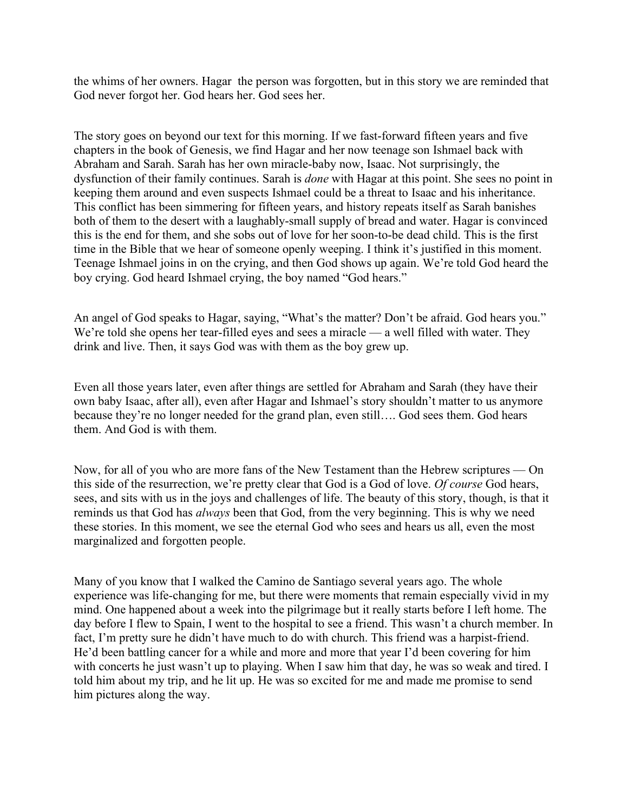the whims of her owners. Hagar the person was forgotten, but in this story we are reminded that God never forgot her. God hears her. God sees her.

The story goes on beyond our text for this morning. If we fast-forward fifteen years and five chapters in the book of Genesis, we find Hagar and her now teenage son Ishmael back with Abraham and Sarah. Sarah has her own miracle-baby now, Isaac. Not surprisingly, the dysfunction of their family continues. Sarah is *done* with Hagar at this point. She sees no point in keeping them around and even suspects Ishmael could be a threat to Isaac and his inheritance. This conflict has been simmering for fifteen years, and history repeats itself as Sarah banishes both of them to the desert with a laughably-small supply of bread and water. Hagar is convinced this is the end for them, and she sobs out of love for her soon-to-be dead child. This is the first time in the Bible that we hear of someone openly weeping. I think it's justified in this moment. Teenage Ishmael joins in on the crying, and then God shows up again. We're told God heard the boy crying. God heard Ishmael crying, the boy named "God hears."

An angel of God speaks to Hagar, saying, "What's the matter? Don't be afraid. God hears you." We're told she opens her tear-filled eyes and sees a miracle — a well filled with water. They drink and live. Then, it says God was with them as the boy grew up.

Even all those years later, even after things are settled for Abraham and Sarah (they have their own baby Isaac, after all), even after Hagar and Ishmael's story shouldn't matter to us anymore because they're no longer needed for the grand plan, even still…. God sees them. God hears them. And God is with them.

Now, for all of you who are more fans of the New Testament than the Hebrew scriptures — On this side of the resurrection, we're pretty clear that God is a God of love. *Of course* God hears, sees, and sits with us in the joys and challenges of life. The beauty of this story, though, is that it reminds us that God has *always* been that God, from the very beginning. This is why we need these stories. In this moment, we see the eternal God who sees and hears us all, even the most marginalized and forgotten people.

Many of you know that I walked the Camino de Santiago several years ago. The whole experience was life-changing for me, but there were moments that remain especially vivid in my mind. One happened about a week into the pilgrimage but it really starts before I left home. The day before I flew to Spain, I went to the hospital to see a friend. This wasn't a church member. In fact, I'm pretty sure he didn't have much to do with church. This friend was a harpist-friend. He'd been battling cancer for a while and more and more that year I'd been covering for him with concerts he just wasn't up to playing. When I saw him that day, he was so weak and tired. I told him about my trip, and he lit up. He was so excited for me and made me promise to send him pictures along the way.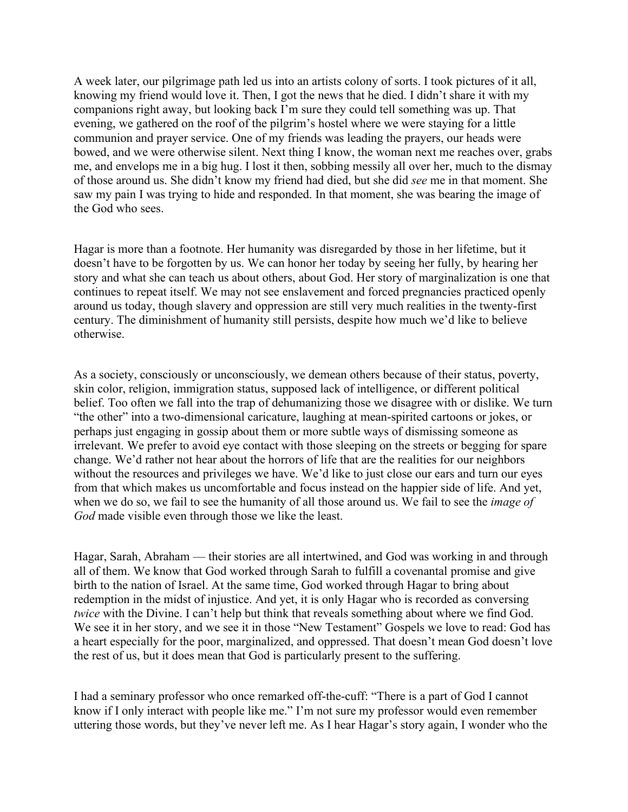A week later, our pilgrimage path led us into an artists colony of sorts. I took pictures of it all, knowing my friend would love it. Then, I got the news that he died. I didn't share it with my companions right away, but looking back I'm sure they could tell something was up. That evening, we gathered on the roof of the pilgrim's hostel where we were staying for a little communion and prayer service. One of my friends was leading the prayers, our heads were bowed, and we were otherwise silent. Next thing I know, the woman next me reaches over, grabs me, and envelops me in a big hug. I lost it then, sobbing messily all over her, much to the dismay of those around us. She didn't know my friend had died, but she did *see* me in that moment. She saw my pain I was trying to hide and responded. In that moment, she was bearing the image of the God who sees.

Hagar is more than a footnote. Her humanity was disregarded by those in her lifetime, but it doesn't have to be forgotten by us. We can honor her today by seeing her fully, by hearing her story and what she can teach us about others, about God. Her story of marginalization is one that continues to repeat itself. We may not see enslavement and forced pregnancies practiced openly around us today, though slavery and oppression are still very much realities in the twenty-first century. The diminishment of humanity still persists, despite how much we'd like to believe otherwise.

As a society, consciously or unconsciously, we demean others because of their status, poverty, skin color, religion, immigration status, supposed lack of intelligence, or different political belief. Too often we fall into the trap of dehumanizing those we disagree with or dislike. We turn "the other" into a two-dimensional caricature, laughing at mean-spirited cartoons or jokes, or perhaps just engaging in gossip about them or more subtle ways of dismissing someone as irrelevant. We prefer to avoid eye contact with those sleeping on the streets or begging for spare change. We'd rather not hear about the horrors of life that are the realities for our neighbors without the resources and privileges we have. We'd like to just close our ears and turn our eyes from that which makes us uncomfortable and focus instead on the happier side of life. And yet, when we do so, we fail to see the humanity of all those around us. We fail to see the *image of God* made visible even through those we like the least.

Hagar, Sarah, Abraham — their stories are all intertwined, and God was working in and through all of them. We know that God worked through Sarah to fulfill a covenantal promise and give birth to the nation of Israel. At the same time, God worked through Hagar to bring about redemption in the midst of injustice. And yet, it is only Hagar who is recorded as conversing *twice* with the Divine. I can't help but think that reveals something about where we find God. We see it in her story, and we see it in those "New Testament" Gospels we love to read: God has a heart especially for the poor, marginalized, and oppressed. That doesn't mean God doesn't love the rest of us, but it does mean that God is particularly present to the suffering.

I had a seminary professor who once remarked off-the-cuff: "There is a part of God I cannot know if I only interact with people like me." I'm not sure my professor would even remember uttering those words, but they've never left me. As I hear Hagar's story again, I wonder who the